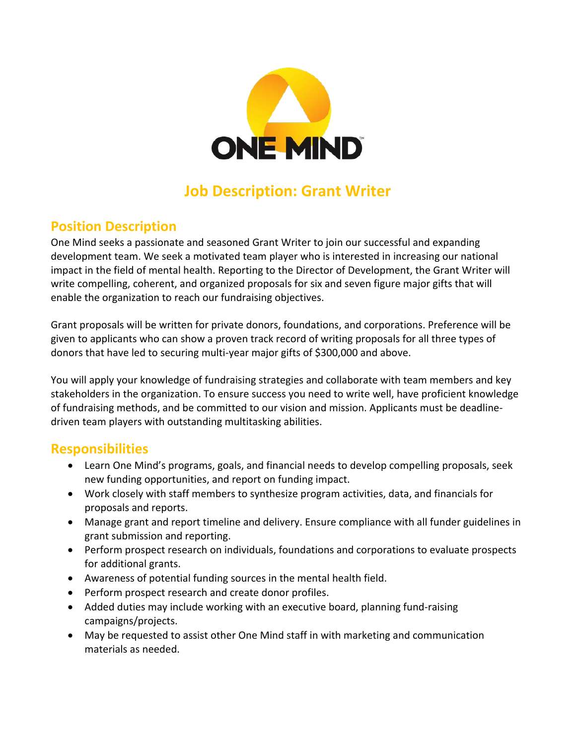

# **Job Description: Grant Writer**

#### **Position Description**

One Mind seeks a passionate and seasoned Grant Writer to join our successful and expanding development team. We seek a motivated team player who is interested in increasing our national impact in the field of mental health. Reporting to the Director of Development, the Grant Writer will write compelling, coherent, and organized proposals for six and seven figure major gifts that will enable the organization to reach our fundraising objectives.

Grant proposals will be written for private donors, foundations, and corporations. Preference will be given to applicants who can show a proven track record of writing proposals for all three types of donors that have led to securing multi-year major gifts of \$300,000 and above.

You will apply your knowledge of fundraising strategies and collaborate with team members and key stakeholders in the organization. To ensure success you need to write well, have proficient knowledge of fundraising methods, and be committed to our vision and mission. Applicants must be deadlinedriven team players with outstanding multitasking abilities.

#### **Responsibilities**

- Learn One Mind's programs, goals, and financial needs to develop compelling proposals, seek new funding opportunities, and report on funding impact.
- Work closely with staff members to synthesize program activities, data, and financials for proposals and reports.
- Manage grant and report timeline and delivery. Ensure compliance with all funder guidelines in grant submission and reporting.
- Perform prospect research on individuals, foundations and corporations to evaluate prospects for additional grants.
- Awareness of potential funding sources in the mental health field.
- Perform prospect research and create donor profiles.
- Added duties may include working with an executive board, planning fund-raising campaigns/projects.
- May be requested to assist other One Mind staff in with marketing and communication materials as needed.